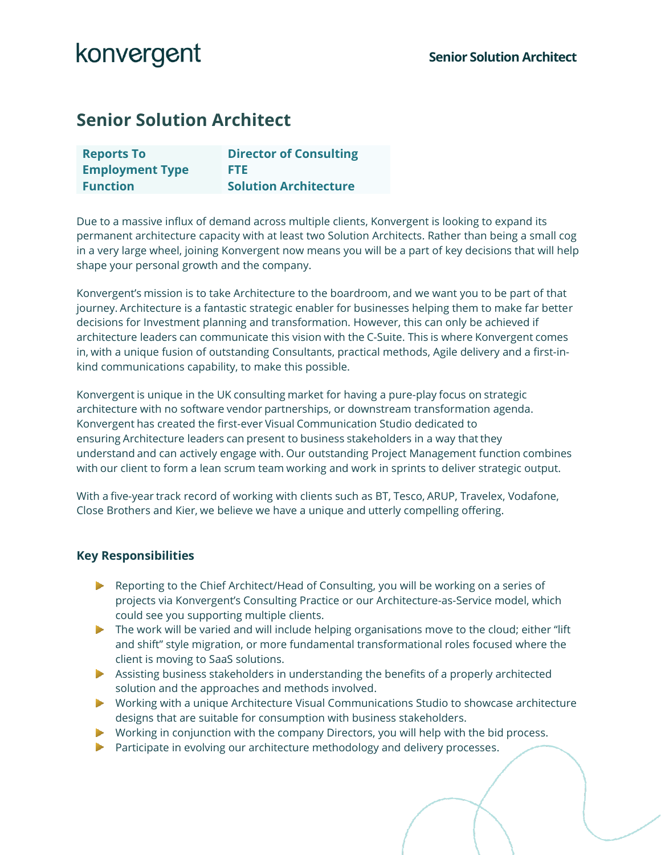## **Senior Solution Architect**

| <b>Reports To</b>      | <b>Director of Consulting</b> |
|------------------------|-------------------------------|
| <b>Employment Type</b> | FTE.                          |
| <b>Function</b>        | <b>Solution Architecture</b>  |

Due to a massive influx of demand across multiple clients, Konvergent is looking to expand its permanent architecture capacity with at least two Solution Architects. Rather than being a small cog in a very large wheel, joining Konvergent now means you will be a part of key decisions that will help shape your personal growth and the company.

Konvergent's mission is to take Architecture to the boardroom, and we want you to be part of that journey. Architecture is a fantastic strategic enabler for businesses helping them to make far better decisions for Investment planning and transformation. However, this can only be achieved if architecture leaders can communicate this vision with the C-Suite. This is where Konvergent comes in, with a unique fusion of outstanding Consultants, practical methods, Agile delivery and a first-inkind communications capability, to make this possible.

Konvergent is unique in the UK consulting market for having a pure-play focus on strategic architecture with no software vendor partnerships, or downstream transformation agenda. Konvergent has created the first-ever Visual Communication Studio dedicated to ensuring Architecture leaders can present to business stakeholders in a way that they understand and can actively engage with. Our outstanding Project Management function combines with our client to form a lean scrum team working and work in sprints to deliver strategic output.

With a five-year track record of working with clients such as BT, Tesco, ARUP, Travelex, Vodafone, Close Brothers and Kier, we believe we have a unique and utterly compelling offering.

### **Key Responsibilities**

- Reporting to the Chief Architect/Head of Consulting, you will be working on a series of projects via Konvergent's Consulting Practice or our Architecture-as-Service model, which could see you supporting multiple clients.
- $\blacktriangleright$  The work will be varied and will include helping organisations move to the cloud; either "lift" and shift" style migration, or more fundamental transformational roles focused where the client is moving to SaaS solutions.
- Assisting business stakeholders in understanding the benefits of a properly architected solution and the approaches and methods involved.
- Working with a unique Architecture Visual Communications Studio to showcase architecture designs that are suitable for consumption with business stakeholders.
- Working in conjunction with the company Directors, you will help with the bid process.
- **Participate in evolving our architecture methodology and delivery processes.**